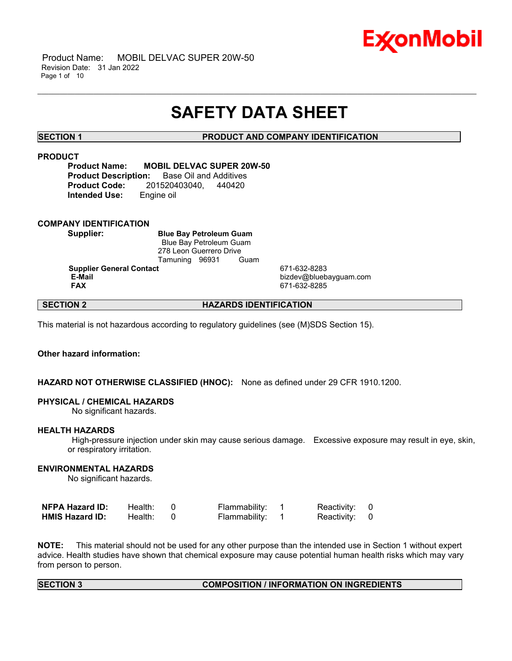

 Product Name: MOBIL DELVAC SUPER 20W-50 Revision Date: 31 Jan 2022 Page 1 of 10

## **SAFETY DATA SHEET**

\_\_\_\_\_\_\_\_\_\_\_\_\_\_\_\_\_\_\_\_\_\_\_\_\_\_\_\_\_\_\_\_\_\_\_\_\_\_\_\_\_\_\_\_\_\_\_\_\_\_\_\_\_\_\_\_\_\_\_\_\_\_\_\_\_\_\_\_\_\_\_\_\_\_\_\_\_\_\_\_\_\_\_\_\_\_\_\_\_\_\_\_\_\_\_\_\_\_\_\_\_\_\_\_\_\_\_\_\_\_\_\_\_\_\_\_\_\_

**SECTION 1 PRODUCT AND COMPANY IDENTIFICATION**

### **PRODUCT**

**Product Name: MOBIL DELVAC SUPER 20W-50 Product Description:** Base Oil and Additives **Product Code:** 201520403040, 440420 **Intended Use:** Engine oil

### **COMPANY IDENTIFICATION**

**Supplier: Blue Bay Petroleum Guam** Blue Bay Petroleum Guam 278 Leon Guerrero Drive Tamuning 96931 Guam **Supplier General Contact** 671-632-8283

**E-Mail** bizdev@bluebayguam.com **FAX** 671-632-8285

### **SECTION 2 HAZARDS IDENTIFICATION**

This material is not hazardous according to regulatory guidelines (see (M)SDS Section 15).

### **Other hazard information:**

### **HAZARD NOT OTHERWISE CLASSIFIED (HNOC):** None as defined under 29 CFR 1910.1200.

### **PHYSICAL / CHEMICAL HAZARDS**

No significant hazards.

### **HEALTH HAZARDS**

High-pressure injection under skin may cause serious damage. Excessive exposure may result in eye, skin, or respiratory irritation.

### **ENVIRONMENTAL HAZARDS**

No significant hazards.

| <b>NFPA Hazard ID:</b> | Health: | Flammability: | Reactivity: 0 |  |
|------------------------|---------|---------------|---------------|--|
| <b>HMIS Hazard ID:</b> | Health: | Flammability: | Reactivity: 0 |  |

**NOTE:** This material should not be used for any other purpose than the intended use in Section 1 without expert advice. Health studies have shown that chemical exposure may cause potential human health risks which may vary from person to person.

### **SECTION 3 COMPOSITION / INFORMATION ON INGREDIENTS**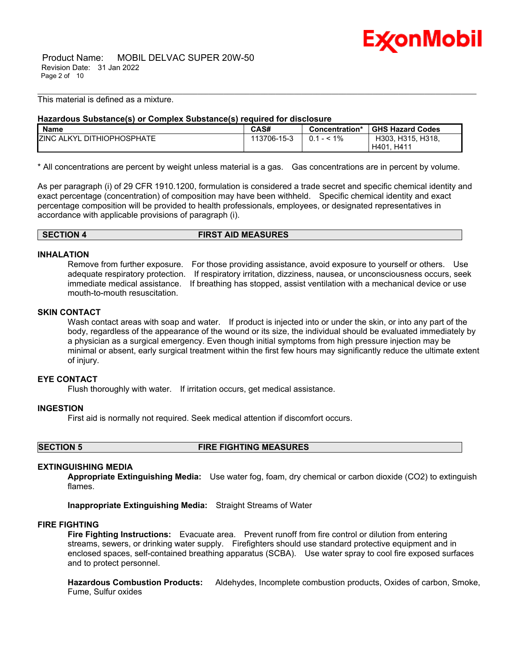

 Product Name: MOBIL DELVAC SUPER 20W-50 Revision Date: 31 Jan 2022 Page 2 of 10

This material is defined as a mixture.

### **Hazardous Substance(s) or Complex Substance(s) required for disclosure**

| <b>Name</b>                            | <b>CAS#</b> | Concentration* | <b>GHS Hazard Codes</b> |
|----------------------------------------|-------------|----------------|-------------------------|
| <b>ZINC ALKYL</b><br>. DITHIOPHOSPHATE | 113706-15-3 | 1%<br>0.1      | H303, H315, H318,       |
|                                        |             |                | H411<br>H401            |

\_\_\_\_\_\_\_\_\_\_\_\_\_\_\_\_\_\_\_\_\_\_\_\_\_\_\_\_\_\_\_\_\_\_\_\_\_\_\_\_\_\_\_\_\_\_\_\_\_\_\_\_\_\_\_\_\_\_\_\_\_\_\_\_\_\_\_\_\_\_\_\_\_\_\_\_\_\_\_\_\_\_\_\_\_\_\_\_\_\_\_\_\_\_\_\_\_\_\_\_\_\_\_\_\_\_\_\_\_\_\_\_\_\_\_\_\_\_

\* All concentrations are percent by weight unless material is a gas. Gas concentrations are in percent by volume.

As per paragraph (i) of 29 CFR 1910.1200, formulation is considered a trade secret and specific chemical identity and exact percentage (concentration) of composition may have been withheld. Specific chemical identity and exact percentage composition will be provided to health professionals, employees, or designated representatives in accordance with applicable provisions of paragraph (i).

**SECTION 4 FIRST AID MEASURES**

### **INHALATION**

Remove from further exposure. For those providing assistance, avoid exposure to yourself or others. Use adequate respiratory protection. If respiratory irritation, dizziness, nausea, or unconsciousness occurs, seek immediate medical assistance. If breathing has stopped, assist ventilation with a mechanical device or use mouth-to-mouth resuscitation.

### **SKIN CONTACT**

Wash contact areas with soap and water. If product is injected into or under the skin, or into any part of the body, regardless of the appearance of the wound or its size, the individual should be evaluated immediately by a physician as a surgical emergency. Even though initial symptoms from high pressure injection may be minimal or absent, early surgical treatment within the first few hours may significantly reduce the ultimate extent of injury.

### **EYE CONTACT**

Flush thoroughly with water. If irritation occurs, get medical assistance.

### **INGESTION**

First aid is normally not required. Seek medical attention if discomfort occurs.

### **SECTION 5 FIRE FIGHTING MEASURES**

### **EXTINGUISHING MEDIA**

**Appropriate Extinguishing Media:** Use water fog, foam, dry chemical or carbon dioxide (CO2) to extinguish flames.

**Inappropriate Extinguishing Media:** Straight Streams of Water

### **FIRE FIGHTING**

**Fire Fighting Instructions:** Evacuate area. Prevent runoff from fire control or dilution from entering streams, sewers, or drinking water supply. Firefighters should use standard protective equipment and in enclosed spaces, self-contained breathing apparatus (SCBA). Use water spray to cool fire exposed surfaces and to protect personnel.

**Hazardous Combustion Products:** Aldehydes, Incomplete combustion products, Oxides of carbon, Smoke, Fume, Sulfur oxides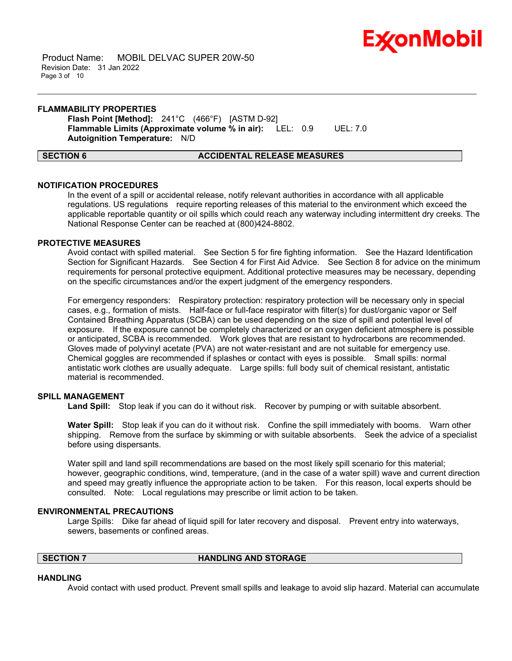

 Product Name: MOBIL DELVAC SUPER 20W-50 Revision Date: 31 Jan 2022 Page 3 of 10

### **FLAMMABILITY PROPERTIES**

**Flash Point [Method]:** 241°C (466°F) [ASTM D-92] **Flammable Limits (Approximate volume % in air):** LEL: 0.9 UEL: 7.0 **Autoignition Temperature:** N/D

### **SECTION 6 ACCIDENTAL RELEASE MEASURES**

\_\_\_\_\_\_\_\_\_\_\_\_\_\_\_\_\_\_\_\_\_\_\_\_\_\_\_\_\_\_\_\_\_\_\_\_\_\_\_\_\_\_\_\_\_\_\_\_\_\_\_\_\_\_\_\_\_\_\_\_\_\_\_\_\_\_\_\_\_\_\_\_\_\_\_\_\_\_\_\_\_\_\_\_\_\_\_\_\_\_\_\_\_\_\_\_\_\_\_\_\_\_\_\_\_\_\_\_\_\_\_\_\_\_\_\_\_\_

### **NOTIFICATION PROCEDURES**

In the event of a spill or accidental release, notify relevant authorities in accordance with all applicable regulations. US regulations require reporting releases of this material to the environment which exceed the applicable reportable quantity or oil spills which could reach any waterway including intermittent dry creeks. The National Response Center can be reached at (800)424-8802.

### **PROTECTIVE MEASURES**

Avoid contact with spilled material. See Section 5 for fire fighting information. See the Hazard Identification Section for Significant Hazards. See Section 4 for First Aid Advice. See Section 8 for advice on the minimum requirements for personal protective equipment. Additional protective measures may be necessary, depending on the specific circumstances and/or the expert judgment of the emergency responders.

For emergency responders: Respiratory protection: respiratory protection will be necessary only in special cases, e.g., formation of mists. Half-face or full-face respirator with filter(s) for dust/organic vapor or Self Contained Breathing Apparatus (SCBA) can be used depending on the size of spill and potential level of exposure. If the exposure cannot be completely characterized or an oxygen deficient atmosphere is possible or anticipated, SCBA is recommended. Work gloves that are resistant to hydrocarbons are recommended. Gloves made of polyvinyl acetate (PVA) are not water-resistant and are not suitable for emergency use. Chemical goggles are recommended if splashes or contact with eyes is possible. Small spills: normal antistatic work clothes are usually adequate. Large spills: full body suit of chemical resistant, antistatic material is recommended.

### **SPILL MANAGEMENT**

**Land Spill:** Stop leak if you can do it without risk. Recover by pumping or with suitable absorbent.

**Water Spill:** Stop leak if you can do it without risk. Confine the spill immediately with booms. Warn other shipping. Remove from the surface by skimming or with suitable absorbents. Seek the advice of a specialist before using dispersants.

Water spill and land spill recommendations are based on the most likely spill scenario for this material; however, geographic conditions, wind, temperature, (and in the case of a water spill) wave and current direction and speed may greatly influence the appropriate action to be taken. For this reason, local experts should be consulted. Note: Local regulations may prescribe or limit action to be taken.

### **ENVIRONMENTAL PRECAUTIONS**

Large Spills: Dike far ahead of liquid spill for later recovery and disposal. Prevent entry into waterways, sewers, basements or confined areas.

### **SECTION 7 HANDLING AND STORAGE**

### **HANDLING**

Avoid contact with used product. Prevent small spills and leakage to avoid slip hazard. Material can accumulate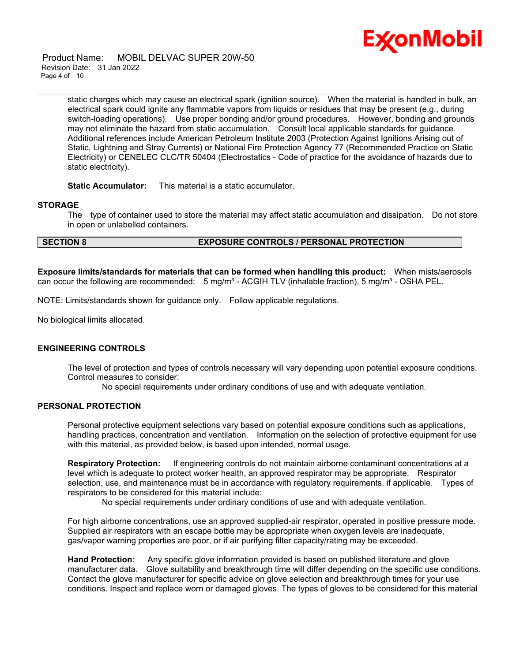

 Product Name: MOBIL DELVAC SUPER 20W-50 Revision Date: 31 Jan 2022 Page 4 of 10

> static charges which may cause an electrical spark (ignition source). When the material is handled in bulk, an electrical spark could ignite any flammable vapors from liquids or residues that may be present (e.g., during switch-loading operations). Use proper bonding and/or ground procedures. However, bonding and grounds may not eliminate the hazard from static accumulation. Consult local applicable standards for guidance. Additional references include American Petroleum Institute 2003 (Protection Against Ignitions Arising out of Static, Lightning and Stray Currents) or National Fire Protection Agency 77 (Recommended Practice on Static Electricity) or CENELEC CLC/TR 50404 (Electrostatics - Code of practice for the avoidance of hazards due to static electricity).

\_\_\_\_\_\_\_\_\_\_\_\_\_\_\_\_\_\_\_\_\_\_\_\_\_\_\_\_\_\_\_\_\_\_\_\_\_\_\_\_\_\_\_\_\_\_\_\_\_\_\_\_\_\_\_\_\_\_\_\_\_\_\_\_\_\_\_\_\_\_\_\_\_\_\_\_\_\_\_\_\_\_\_\_\_\_\_\_\_\_\_\_\_\_\_\_\_\_\_\_\_\_\_\_\_\_\_\_\_\_\_\_\_\_\_\_\_\_

**Static Accumulator:** This material is a static accumulator.

### **STORAGE**

The type of container used to store the material may affect static accumulation and dissipation. Do not store in open or unlabelled containers.

### **SECTION 8 EXPOSURE CONTROLS / PERSONAL PROTECTION**

**Exposure limits/standards for materials that can be formed when handling this product:** When mists/aerosols can occur the following are recommended:  $5 \text{ mg/m}^3$  - ACGIH TLV (inhalable fraction),  $5 \text{ mg/m}^3$  - OSHA PEL.

NOTE: Limits/standards shown for guidance only. Follow applicable regulations.

No biological limits allocated.

### **ENGINEERING CONTROLS**

The level of protection and types of controls necessary will vary depending upon potential exposure conditions. Control measures to consider:

No special requirements under ordinary conditions of use and with adequate ventilation.

### **PERSONAL PROTECTION**

Personal protective equipment selections vary based on potential exposure conditions such as applications, handling practices, concentration and ventilation. Information on the selection of protective equipment for use with this material, as provided below, is based upon intended, normal usage.

**Respiratory Protection:** If engineering controls do not maintain airborne contaminant concentrations at a level which is adequate to protect worker health, an approved respirator may be appropriate. Respirator selection, use, and maintenance must be in accordance with regulatory requirements, if applicable. Types of respirators to be considered for this material include:

No special requirements under ordinary conditions of use and with adequate ventilation.

For high airborne concentrations, use an approved supplied-air respirator, operated in positive pressure mode. Supplied air respirators with an escape bottle may be appropriate when oxygen levels are inadequate, gas/vapor warning properties are poor, or if air purifying filter capacity/rating may be exceeded.

**Hand Protection:** Any specific glove information provided is based on published literature and glove manufacturer data. Glove suitability and breakthrough time will differ depending on the specific use conditions. Contact the glove manufacturer for specific advice on glove selection and breakthrough times for your use conditions. Inspect and replace worn or damaged gloves. The types of gloves to be considered for this material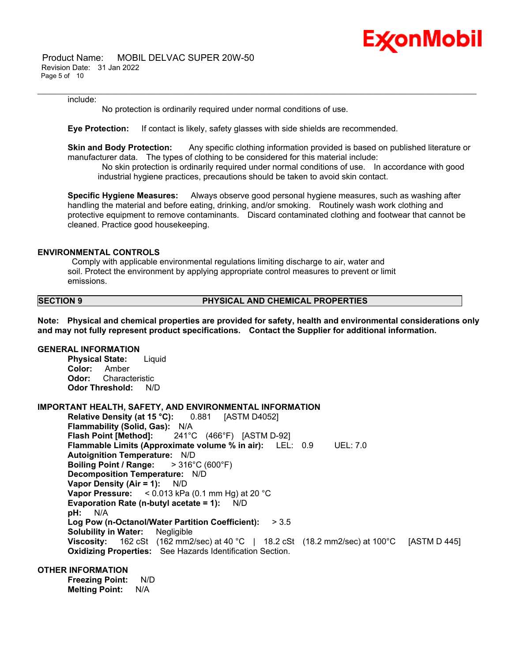

 Product Name: MOBIL DELVAC SUPER 20W-50 Revision Date: 31 Jan 2022 Page 5 of 10

### include:

No protection is ordinarily required under normal conditions of use.

**Eye Protection:** If contact is likely, safety glasses with side shields are recommended.

**Skin and Body Protection:** Any specific clothing information provided is based on published literature or manufacturer data. The types of clothing to be considered for this material include:

\_\_\_\_\_\_\_\_\_\_\_\_\_\_\_\_\_\_\_\_\_\_\_\_\_\_\_\_\_\_\_\_\_\_\_\_\_\_\_\_\_\_\_\_\_\_\_\_\_\_\_\_\_\_\_\_\_\_\_\_\_\_\_\_\_\_\_\_\_\_\_\_\_\_\_\_\_\_\_\_\_\_\_\_\_\_\_\_\_\_\_\_\_\_\_\_\_\_\_\_\_\_\_\_\_\_\_\_\_\_\_\_\_\_\_\_\_\_

No skin protection is ordinarily required under normal conditions of use. In accordance with good industrial hygiene practices, precautions should be taken to avoid skin contact.

**Specific Hygiene Measures:** Always observe good personal hygiene measures, such as washing after handling the material and before eating, drinking, and/or smoking. Routinely wash work clothing and protective equipment to remove contaminants. Discard contaminated clothing and footwear that cannot be cleaned. Practice good housekeeping.

### **ENVIRONMENTAL CONTROLS**

Comply with applicable environmental regulations limiting discharge to air, water and soil. Protect the environment by applying appropriate control measures to prevent or limit emissions.

### **SECTION 9 PHYSICAL AND CHEMICAL PROPERTIES**

**Note: Physical and chemical properties are provided for safety, health and environmental considerations only and may not fully represent product specifications. Contact the Supplier for additional information.**

### **GENERAL INFORMATION**

**Physical State:** Liquid **Color:** Amber **Odor:** Characteristic **Odor Threshold:** N/D

### **IMPORTANT HEALTH, SAFETY, AND ENVIRONMENTAL INFORMATION**

**Relative Density (at 15 °C):** 0.881 [ASTM D4052] **Flammability (Solid, Gas):** N/A **Flash Point [Method]:** 241°C (466°F) [ASTM D-92] **Flammable Limits (Approximate volume % in air):** LEL: 0.9 UEL: 7.0 **Autoignition Temperature:** N/D **Boiling Point / Range:** > 316°C (600°F) **Decomposition Temperature:** N/D **Vapor Density (Air = 1):** N/D **Vapor Pressure:** < 0.013 kPa (0.1 mm Hg) at 20 °C **Evaporation Rate (n-butyl acetate = 1):** N/D **pH:** N/A **Log Pow (n-Octanol/Water Partition Coefficient):** > 3.5 **Solubility in Water:** Negligible **Viscosity:** 162 cSt (162 mm2/sec) at 40 °C | 18.2 cSt (18.2 mm2/sec) at 100 °C [ASTM D 445] **Oxidizing Properties:** See Hazards Identification Section.

### **OTHER INFORMATION**

**Freezing Point:** N/D **Melting Point:** N/A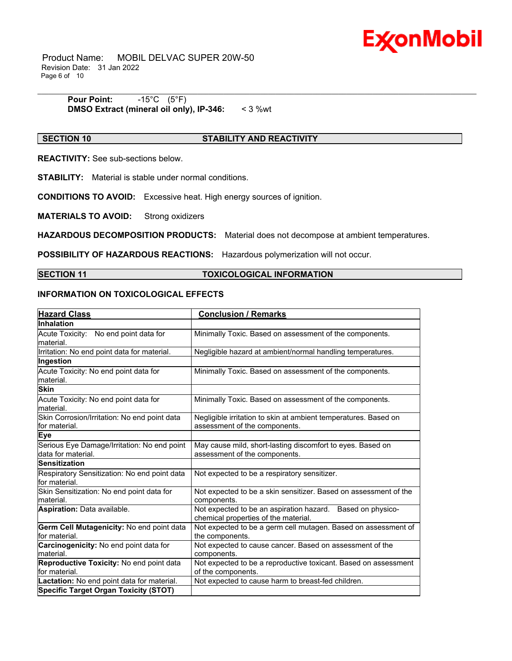

 Product Name: MOBIL DELVAC SUPER 20W-50 Revision Date: 31 Jan 2022 Page 6 of 10

> **Pour Point:** -15°C (5°F) **DMSO Extract (mineral oil only), IP-346:** < 3 %wt

### **SECTION 10 STABILITY AND REACTIVITY**

\_\_\_\_\_\_\_\_\_\_\_\_\_\_\_\_\_\_\_\_\_\_\_\_\_\_\_\_\_\_\_\_\_\_\_\_\_\_\_\_\_\_\_\_\_\_\_\_\_\_\_\_\_\_\_\_\_\_\_\_\_\_\_\_\_\_\_\_\_\_\_\_\_\_\_\_\_\_\_\_\_\_\_\_\_\_\_\_\_\_\_\_\_\_\_\_\_\_\_\_\_\_\_\_\_\_\_\_\_\_\_\_\_\_\_\_\_\_

**REACTIVITY:** See sub-sections below.

**STABILITY:** Material is stable under normal conditions.

**CONDITIONS TO AVOID:** Excessive heat. High energy sources of ignition.

**MATERIALS TO AVOID:** Strong oxidizers

**HAZARDOUS DECOMPOSITION PRODUCTS:** Material does not decompose at ambient temperatures.

**POSSIBILITY OF HAZARDOUS REACTIONS:** Hazardous polymerization will not occur.

### **SECTION 11 TOXICOLOGICAL INFORMATION**

### **INFORMATION ON TOXICOLOGICAL EFFECTS**

| <b>Hazard Class</b>                                           | <b>Conclusion / Remarks</b>                                                                        |
|---------------------------------------------------------------|----------------------------------------------------------------------------------------------------|
| Inhalation                                                    |                                                                                                    |
| Acute Toxicity: No end point data for                         | Minimally Toxic. Based on assessment of the components.                                            |
| material.                                                     |                                                                                                    |
| Irritation: No end point data for material.                   | Negligible hazard at ambient/normal handling temperatures.                                         |
| Ingestion                                                     |                                                                                                    |
| Acute Toxicity: No end point data for<br>material.            | Minimally Toxic. Based on assessment of the components.                                            |
| <b>Skin</b>                                                   |                                                                                                    |
| Acute Toxicity: No end point data for<br>material.            | Minimally Toxic. Based on assessment of the components.                                            |
| Skin Corrosion/Irritation: No end point data<br>for material. | Negligible irritation to skin at ambient temperatures. Based on<br>assessment of the components.   |
| <b>Eye</b>                                                    |                                                                                                    |
| Serious Eye Damage/Irritation: No end point                   | May cause mild, short-lasting discomfort to eyes. Based on                                         |
| data for material.                                            | assessment of the components.                                                                      |
| <b>Sensitization</b>                                          |                                                                                                    |
| Respiratory Sensitization: No end point data<br>for material. | Not expected to be a respiratory sensitizer.                                                       |
| Skin Sensitization: No end point data for                     | Not expected to be a skin sensitizer. Based on assessment of the                                   |
| material.                                                     | components.                                                                                        |
| Aspiration: Data available.                                   | Not expected to be an aspiration hazard. Based on physico-<br>chemical properties of the material. |
| Germ Cell Mutagenicity: No end point data                     | Not expected to be a germ cell mutagen. Based on assessment of                                     |
| for material.                                                 | the components.                                                                                    |
| Carcinogenicity: No end point data for                        | Not expected to cause cancer. Based on assessment of the                                           |
| material.                                                     | components.                                                                                        |
| Reproductive Toxicity: No end point data                      | Not expected to be a reproductive toxicant. Based on assessment                                    |
| for material.                                                 | of the components.                                                                                 |
| Lactation: No end point data for material.                    | Not expected to cause harm to breast-fed children.                                                 |
| <b>Specific Target Organ Toxicity (STOT)</b>                  |                                                                                                    |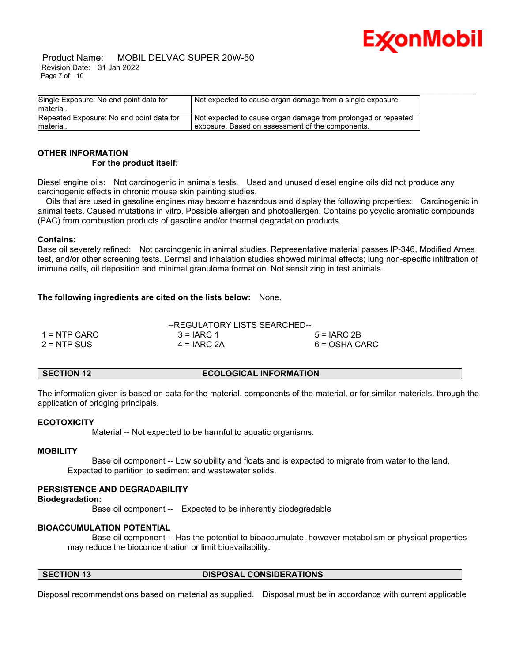

 Product Name: MOBIL DELVAC SUPER 20W-50 Revision Date: 31 Jan 2022 Page 7 of 10

| Single Exposure: No end point data for   | Not expected to cause organ damage from a single exposure.    |
|------------------------------------------|---------------------------------------------------------------|
| material.                                |                                                               |
| Repeated Exposure: No end point data for | Not expected to cause organ damage from prolonged or repeated |
| material.                                | exposure. Based on assessment of the components.              |

### **OTHER INFORMATION For the product itself:**

Diesel engine oils: Not carcinogenic in animals tests. Used and unused diesel engine oils did not produce any carcinogenic effects in chronic mouse skin painting studies.

 Oils that are used in gasoline engines may become hazardous and display the following properties: Carcinogenic in animal tests. Caused mutations in vitro. Possible allergen and photoallergen. Contains polycyclic aromatic compounds (PAC) from combustion products of gasoline and/or thermal degradation products.

### **Contains:**

Base oil severely refined: Not carcinogenic in animal studies. Representative material passes IP-346, Modified Ames test, and/or other screening tests. Dermal and inhalation studies showed minimal effects; lung non-specific infiltration of immune cells, oil deposition and minimal granuloma formation. Not sensitizing in test animals.

### **The following ingredients are cited on the lists below:** None.

|                | --REGULATORY LISTS SEARCHED-- |               |
|----------------|-------------------------------|---------------|
| $1 =$ NTP CARC | $3 = IARC 1$                  | $5 = IARC2B$  |
| $2 = NTP$ SUS  | $4 = IARC 2A$                 | 6 = OSHA CARC |

### **SECTION 12 ECOLOGICAL INFORMATION**

The information given is based on data for the material, components of the material, or for similar materials, through the application of bridging principals.

### **ECOTOXICITY**

Material -- Not expected to be harmful to aquatic organisms.

### **MOBILITY**

 Base oil component -- Low solubility and floats and is expected to migrate from water to the land. Expected to partition to sediment and wastewater solids.

### **PERSISTENCE AND DEGRADABILITY**

### **Biodegradation:**

Base oil component -- Expected to be inherently biodegradable

### **BIOACCUMULATION POTENTIAL**

 Base oil component -- Has the potential to bioaccumulate, however metabolism or physical properties may reduce the bioconcentration or limit bioavailability.

### **SECTION 13 DISPOSAL CONSIDERATIONS**

Disposal recommendations based on material as supplied. Disposal must be in accordance with current applicable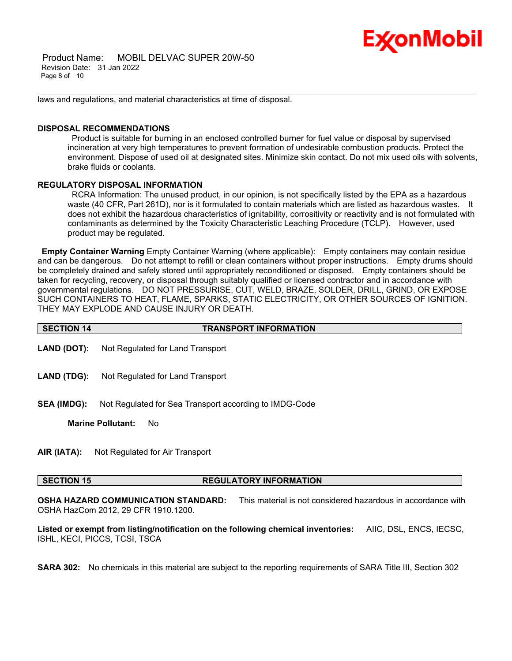# Ex⁄onMobil

 Product Name: MOBIL DELVAC SUPER 20W-50 Revision Date: 31 Jan 2022 Page 8 of 10

laws and regulations, and material characteristics at time of disposal.

### **DISPOSAL RECOMMENDATIONS**

Product is suitable for burning in an enclosed controlled burner for fuel value or disposal by supervised incineration at very high temperatures to prevent formation of undesirable combustion products. Protect the environment. Dispose of used oil at designated sites. Minimize skin contact. Do not mix used oils with solvents, brake fluids or coolants.

\_\_\_\_\_\_\_\_\_\_\_\_\_\_\_\_\_\_\_\_\_\_\_\_\_\_\_\_\_\_\_\_\_\_\_\_\_\_\_\_\_\_\_\_\_\_\_\_\_\_\_\_\_\_\_\_\_\_\_\_\_\_\_\_\_\_\_\_\_\_\_\_\_\_\_\_\_\_\_\_\_\_\_\_\_\_\_\_\_\_\_\_\_\_\_\_\_\_\_\_\_\_\_\_\_\_\_\_\_\_\_\_\_\_\_\_\_\_

### **REGULATORY DISPOSAL INFORMATION**

RCRA Information: The unused product, in our opinion, is not specifically listed by the EPA as a hazardous waste (40 CFR, Part 261D), nor is it formulated to contain materials which are listed as hazardous wastes. It does not exhibit the hazardous characteristics of ignitability, corrositivity or reactivity and is not formulated with contaminants as determined by the Toxicity Characteristic Leaching Procedure (TCLP). However, used product may be regulated.

**Empty Container Warning** Empty Container Warning (where applicable): Empty containers may contain residue and can be dangerous. Do not attempt to refill or clean containers without proper instructions. Empty drums should be completely drained and safely stored until appropriately reconditioned or disposed. Empty containers should be taken for recycling, recovery, or disposal through suitably qualified or licensed contractor and in accordance with governmental regulations. DO NOT PRESSURISE, CUT, WELD, BRAZE, SOLDER, DRILL, GRIND, OR EXPOSE SUCH CONTAINERS TO HEAT, FLAME, SPARKS, STATIC ELECTRICITY, OR OTHER SOURCES OF IGNITION. THEY MAY EXPLODE AND CAUSE INJURY OR DEATH.

| <b>SECTION 14</b> | <b>TRANSPORT INFORMATION</b> |
|-------------------|------------------------------|
|                   |                              |

- **LAND (DOT):** Not Regulated for Land Transport
- **LAND (TDG):** Not Regulated for Land Transport
- **SEA (IMDG):** Not Regulated for Sea Transport according to IMDG-Code

**Marine Pollutant:** No

**AIR (IATA):** Not Regulated for Air Transport

### **SECTION 15 REGULATORY INFORMATION**

**OSHA HAZARD COMMUNICATION STANDARD:** This material is not considered hazardous in accordance with OSHA HazCom 2012, 29 CFR 1910.1200.

**Listed or exempt from listing/notification on the following chemical inventories:** AIIC, DSL, ENCS, IECSC, ISHL, KECI, PICCS, TCSI, TSCA

**SARA 302:** No chemicals in this material are subject to the reporting requirements of SARA Title III, Section 302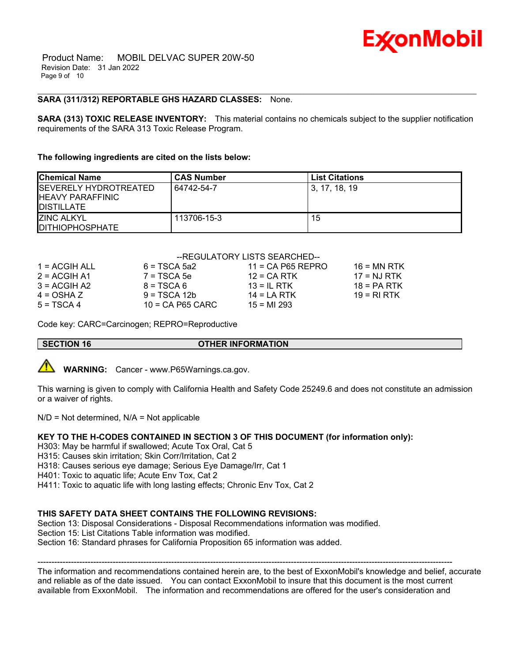Product Name: MOBIL DELVAC SUPER 20W-50 Revision Date: 31 Jan 2022 Page 9 of 10

### **SARA (311/312) REPORTABLE GHS HAZARD CLASSES:** None.

**SARA (313) TOXIC RELEASE INVENTORY:** This material contains no chemicals subject to the supplier notification requirements of the SARA 313 Toxic Release Program.

\_\_\_\_\_\_\_\_\_\_\_\_\_\_\_\_\_\_\_\_\_\_\_\_\_\_\_\_\_\_\_\_\_\_\_\_\_\_\_\_\_\_\_\_\_\_\_\_\_\_\_\_\_\_\_\_\_\_\_\_\_\_\_\_\_\_\_\_\_\_\_\_\_\_\_\_\_\_\_\_\_\_\_\_\_\_\_\_\_\_\_\_\_\_\_\_\_\_\_\_\_\_\_\_\_\_\_\_\_\_\_\_\_\_\_\_\_\_

### **The following ingredients are cited on the lists below:**

| <b>Chemical Name</b>                                                            | <b>CAS Number</b> | <b>List Citations</b> |
|---------------------------------------------------------------------------------|-------------------|-----------------------|
| <b>ISEVERELY HYDROTREATED</b><br><b>IHEAVY PARAFFINIC</b><br><b>IDISTILLATE</b> | 64742-54-7        | l 3. 17. 18. 19       |
| <b>ZINC ALKYL</b><br><b>IDITHIOPHOSPHATE</b>                                    | 113706-15-3       | 15                    |

### --REGULATORY LISTS SEARCHED--

| 1 = ACGIH ALL  | $6 = TSCA$ 5a2     | $11 = CA$ P65 REPRO | $16 = MN$ RTK                    |
|----------------|--------------------|---------------------|----------------------------------|
| $2 = ACGIH A1$ | $7 = TSCA5e$       | $12$ = CA RTK       | $17 = N \cdot J \cdot R \cdot K$ |
| $3 = ACGH A2$  | $8 = TSCA6$        | $13 = IL$ RTK       | $18 = PA RTK$                    |
| $4 = OSHA Z$   | $9 = TSCA 12b$     | $14 = I A RTK$      | 19 = RI RTK                      |
| $5 = TSCA4$    | $10 = CA$ P65 CARC | $15 = M1 293$       |                                  |

Code key: CARC=Carcinogen; REPRO=Reproductive

### **SECTION 16 OTHER INFORMATION**



**WARNING:** Cancer - www.P65Warnings.ca.gov.

This warning is given to comply with California Health and Safety Code 25249.6 and does not constitute an admission or a waiver of rights.

 $N/D = Not determined$ ,  $N/A = Not applicable$ 

### **KEY TO THE H-CODES CONTAINED IN SECTION 3 OF THIS DOCUMENT (for information only):**

- H303: May be harmful if swallowed; Acute Tox Oral, Cat 5
- H315: Causes skin irritation; Skin Corr/Irritation, Cat 2
- H318: Causes serious eye damage; Serious Eye Damage/Irr, Cat 1
- H401: Toxic to aquatic life; Acute Env Tox, Cat 2
- H411: Toxic to aquatic life with long lasting effects; Chronic Env Tox, Cat 2

### **THIS SAFETY DATA SHEET CONTAINS THE FOLLOWING REVISIONS:**

Section 13: Disposal Considerations - Disposal Recommendations information was modified.

Section 15: List Citations Table information was modified.

Section 16: Standard phrases for California Proposition 65 information was added.

----------------------------------------------------------------------------------------------------------------------------------------------------- The information and recommendations contained herein are, to the best of ExxonMobil's knowledge and belief, accurate and reliable as of the date issued. You can contact ExxonMobil to insure that this document is the most current available from ExxonMobil. The information and recommendations are offered for the user's consideration and